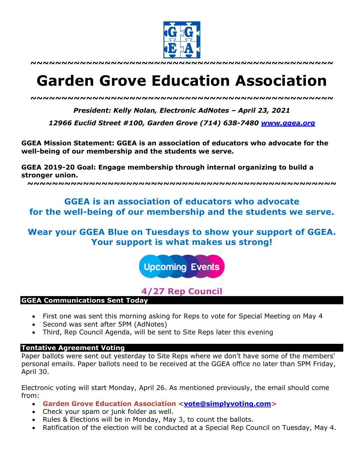

**~~~~~~~~~~~~~~~~~~~~~~~~~~~~~~~~~~~~~~~~~~~~~~~~~**

# **Garden Grove Education Association**

*~~~~~~~~~~~~~~~~~~~~~~~~~~~~~~~~~~~~~~~~~~~~~~~~~*

*President: Kelly Nolan, Electronic AdNotes – April 23, 2021*

*12966 Euclid Street #100, Garden Grove (714) 638-7480 www.ggea.org*

**GGEA Mission Statement: GGEA is an association of educators who advocate for the well-being of our membership and the students we serve.** 

**GGEA 2019-20 Goal: Engage membership through internal organizing to build a stronger union.**

**~~~~~~~~~~~~~~~~~~~~~~~~~~~~~~~~~~~~~~~~~~~~~~~~~~**

# **GGEA is an association of educators who advocate for the well-being of our membership and the students we serve.**

## **Wear your GGEA Blue on Tuesdays to show your support of GGEA. Your support is what makes us strong!**

**Upcoming Events** 

## **4/27 Rep Council**

#### **GGEA Communications Sent Today**

- First one was sent this morning asking for Reps to vote for Special Meeting on May 4
- Second was sent after 5PM (AdNotes)
- Third, Rep Council Agenda, will be sent to Site Reps later this evening

#### **Tentative Agreement Voting**

Paper ballots were sent out yesterday to Site Reps where we don't have some of the members' personal emails. Paper ballots need to be received at the GGEA office no later than 5PM Friday, April 30.

Electronic voting will start Monday, April 26. As mentioned previously, the email should come from:

- **Garden Grove Education Association <vote@simplyvoting.com>**
- Check your spam or junk folder as well.
- Rules & Elections will be in Monday, May 3, to count the ballots.
- Ratification of the election will be conducted at a Special Rep Council on Tuesday, May 4.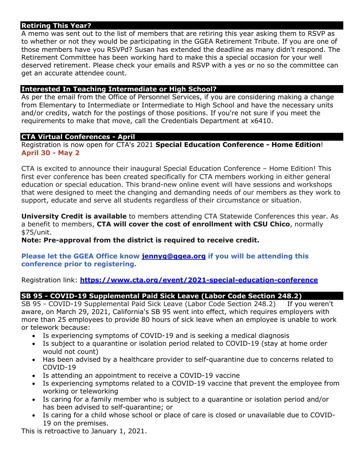### **Retiring This Year?**

A memo was sent out to the list of members that are retiring this year asking them to RSVP as to whether or not they would be participating in the GGEA Retirement Tribute. If you are one of those members have you RSVPd? Susan has extended the deadline as many didn't respond. The Retirement Committee has been working hard to make this a special occasion for your well deserved retirement. Please check your emails and RSVP with a yes or no so the committee can get an accurate attendee count.

#### **Interested In Teaching Intermediate or High School?**

As per the email from the Office of Personnel Services, if you are considering making a change from Elementary to Intermediate or Intermediate to High School and have the necessary units and/or credits, watch for the postings of those positions. If you're not sure if you meet the requirements to make that move, call the Credentials Department at x6410.

#### **CTA Virtual Conferences - April**

Registration is now open for CTA's 2021 **Special Education Conference - Home Edition**! **April 30 - May 2**

CTA is excited to announce their inaugural Special Education Conference – Home Edition! This first ever conference has been created specifically for CTA members working in either general education or special education. This brand-new online event will have sessions and workshops that were designed to meet the changing and demanding needs of our members as they work to support, educate and serve all students regardless of their circumstance or situation.

**University Credit is available** to members attending CTA Statewide Conferences this year. As a benefit to members, **CTA will cover the cost of enrollment with CSU Chico**, normally \$75/unit.

**Note: Pre-approval from the district is required to receive credit.**

#### **Please let the GGEA Office know jennyg@ggea.org if you will be attending this conference prior to registering.**

Registration link: **https://www.cta.org/event/2021-special-education-conference**

## **SB 95 - COVID-19 Supplemental Paid Sick Leave (Labor Code Section 248.2)**

SB 95 - COVID-19 Supplemental Paid Sick Leave (Labor Code Section 248.2) If you weren't aware, on March 29, 2021, California's SB 95 went into effect, which requires employers with more than 25 employees to provide 80 hours of sick leave when an employee is unable to work or telework because:

- Is experiencing symptoms of COVID-19 and is seeking a medical diagnosis
- Is subject to a quarantine or isolation period related to COVID-19 (stay at home order would not count)
- Has been advised by a healthcare provider to self-quarantine due to concerns related to COVID-19
- Is attending an appointment to receive a COVID-19 vaccine
- Is experiencing symptoms related to a COVID-19 vaccine that prevent the employee from working or teleworking
- Is caring for a family member who is subject to a quarantine or isolation period and/or has been advised to self-quarantine; or
- Is caring for a child whose school or place of care is closed or unavailable due to COVID-19 on the premises.

This is retroactive to January 1, 2021.